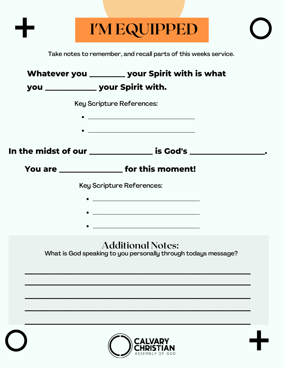